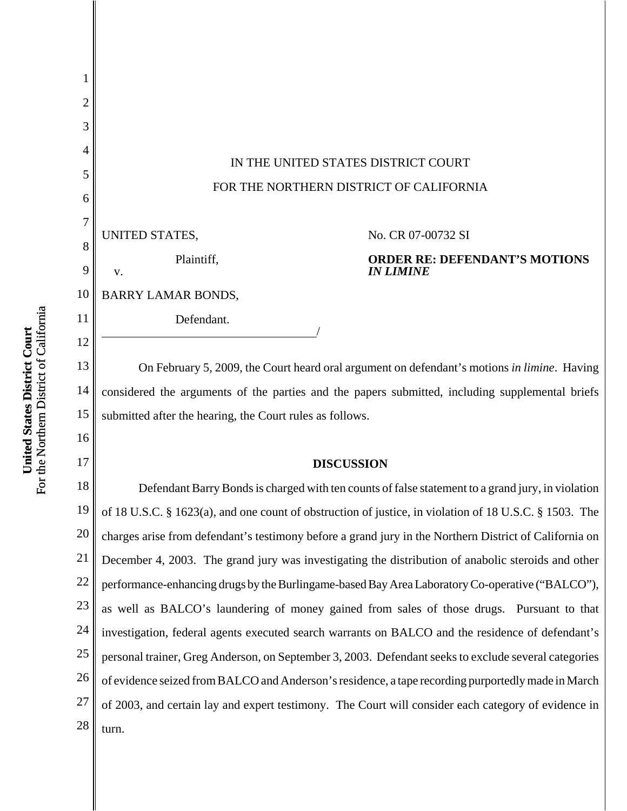| 1              |                                                                                                 |  |
|----------------|-------------------------------------------------------------------------------------------------|--|
| $\overline{2}$ |                                                                                                 |  |
| 3              |                                                                                                 |  |
| $\overline{4}$ | IN THE UNITED STATES DISTRICT COURT                                                             |  |
| 5              |                                                                                                 |  |
| 6              | FOR THE NORTHERN DISTRICT OF CALIFORNIA                                                         |  |
|                |                                                                                                 |  |
| $\overline{7}$ |                                                                                                 |  |
| 8              | <b>UNITED STATES,</b><br>No. CR 07-00732 SI                                                     |  |
| 9              | Plaintiff,<br><b>ORDER RE: DEFENDANT'S MOTIONS</b><br><b>IN LIMINE</b><br>V.                    |  |
| 10             | <b>BARRY LAMAR BONDS,</b>                                                                       |  |
| 11             | Defendant.                                                                                      |  |
| 12             |                                                                                                 |  |
| 13             | On February 5, 2009, the Court heard oral argument on defendant's motions in limine. Having     |  |
| 14             | considered the arguments of the parties and the papers submitted, including supplemental briefs |  |
| 15             | submitted after the hearing, the Court rules as follows.                                        |  |
| 16             |                                                                                                 |  |
| 17             | <b>DISCUSSION</b>                                                                               |  |
| 18             | Defendent Records in charged with ten counte of folge statement to a gread juny in violation    |  |

18 19 20 21 22 23 24 25 26 27 28 Defendant Barry Bonds is charged with ten counts of false statement to a grand jury, in violation of 18 U.S.C. § 1623(a), and one count of obstruction of justice, in violation of 18 U.S.C. § 1503. The charges arise from defendant's testimony before a grand jury in the Northern District of California on December 4, 2003. The grand jury was investigating the distribution of anabolic steroids and other performance-enhancing drugs by the Burlingame-based Bay Area Laboratory Co-operative ("BALCO"), as well as BALCO's laundering of money gained from sales of those drugs. Pursuant to that investigation, federal agents executed search warrants on BALCO and the residence of defendant's personal trainer, Greg Anderson, on September 3, 2003. Defendant seeks to exclude several categories of evidence seized from BALCO and Anderson's residence, a tape recording purportedly made in March of 2003, and certain lay and expert testimony. The Court will consider each category of evidence in turn.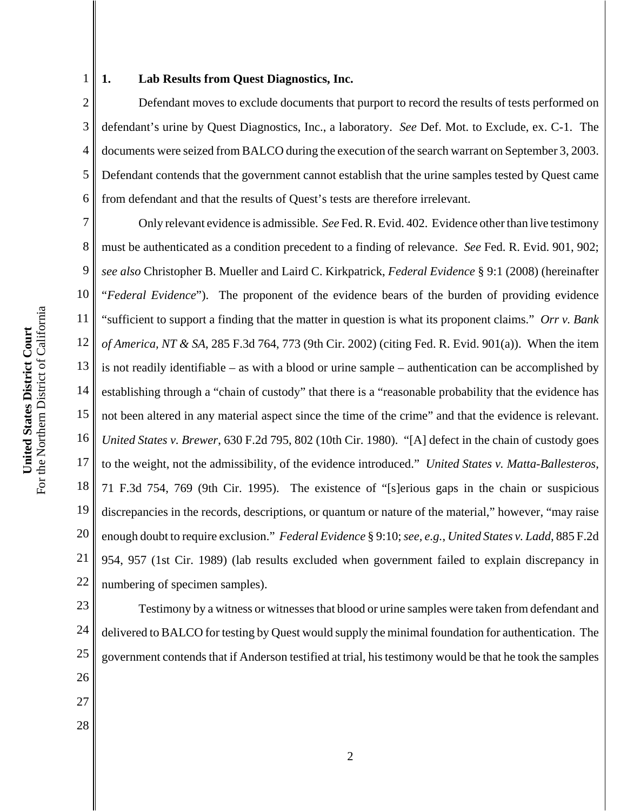1

#### **1. Lab Results from Quest Diagnostics, Inc.**

3 4 5 6 Defendant moves to exclude documents that purport to record the results of tests performed on defendant's urine by Quest Diagnostics, Inc., a laboratory. *See* Def. Mot. to Exclude, ex. C-1. The documents were seized from BALCO during the execution of the search warrant on September 3, 2003. Defendant contends that the government cannot establish that the urine samples tested by Quest came from defendant and that the results of Quest's tests are therefore irrelevant.

7 8 9 10 11 12 13 14 15 16 17 18 19 20 21 22 Only relevant evidence is admissible. *See* Fed. R. Evid. 402. Evidence other than live testimony must be authenticated as a condition precedent to a finding of relevance. *See* Fed. R. Evid. 901, 902; *see also* Christopher B. Mueller and Laird C. Kirkpatrick, *Federal Evidence* § 9:1 (2008) (hereinafter "*Federal Evidence*"). The proponent of the evidence bears of the burden of providing evidence "sufficient to support a finding that the matter in question is what its proponent claims." *Orr v. Bank of America, NT & SA*, 285 F.3d 764, 773 (9th Cir. 2002) (citing Fed. R. Evid. 901(a)). When the item is not readily identifiable – as with a blood or urine sample – authentication can be accomplished by establishing through a "chain of custody" that there is a "reasonable probability that the evidence has not been altered in any material aspect since the time of the crime" and that the evidence is relevant. *United States v. Brewer*, 630 F.2d 795, 802 (10th Cir. 1980). "[A] defect in the chain of custody goes to the weight, not the admissibility, of the evidence introduced." *United States v. Matta-Ballesteros*, 71 F.3d 754, 769 (9th Cir. 1995). The existence of "[s]erious gaps in the chain or suspicious discrepancies in the records, descriptions, or quantum or nature of the material," however, "may raise enough doubt to require exclusion." *Federal Evidence* § 9:10; *see, e.g.*, *United States v. Ladd*, 885 F.2d 954, 957 (1st Cir. 1989) (lab results excluded when government failed to explain discrepancy in numbering of specimen samples).

23 24 25 Testimony by a witness or witnesses that blood or urine samples were taken from defendant and delivered to BALCO for testing by Quest would supply the minimal foundation for authentication. The government contends that if Anderson testified at trial, his testimony would be that he took the samples

For the Northern District of California For the Northern District of California United States District Court **United States District Court**

26

27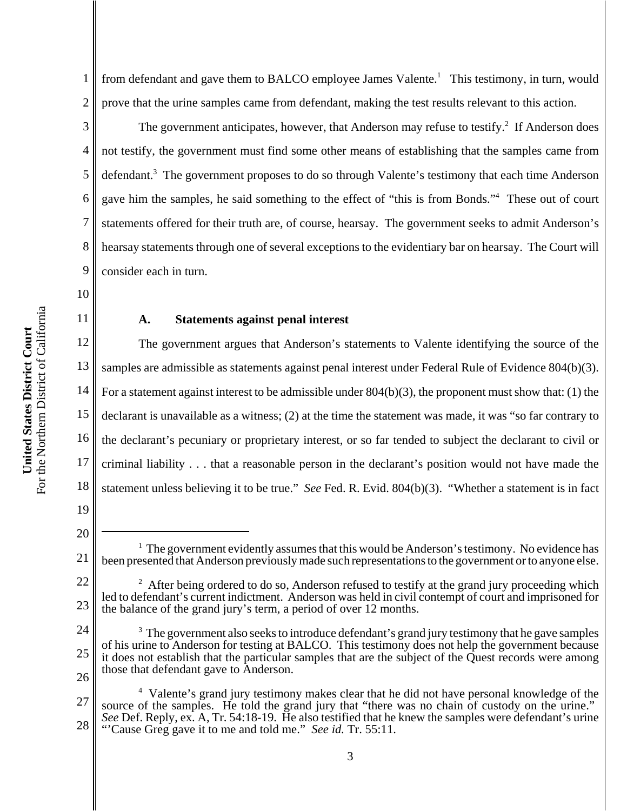1 2 from defendant and gave them to BALCO employee James Valente.<sup>1</sup> This testimony, in turn, would prove that the urine samples came from defendant, making the test results relevant to this action.

The government anticipates, however, that Anderson may refuse to testify. $2$  If Anderson does not testify, the government must find some other means of establishing that the samples came from defendant.<sup>3</sup> The government proposes to do so through Valente's testimony that each time Anderson gave him the samples, he said something to the effect of "this is from Bonds."4 These out of court statements offered for their truth are, of course, hearsay. The government seeks to admit Anderson's hearsay statements through one of several exceptions to the evidentiary bar on hearsay. The Court will consider each in turn.

10

11

3

4

5

6

7

8

9

#### **A. Statements against penal interest**

12 13 14 15 16 17 18 The government argues that Anderson's statements to Valente identifying the source of the samples are admissible as statements against penal interest under Federal Rule of Evidence 804(b)(3). For a statement against interest to be admissible under  $804(b)(3)$ , the proponent must show that: (1) the declarant is unavailable as a witness; (2) at the time the statement was made, it was "so far contrary to the declarant's pecuniary or proprietary interest, or so far tended to subject the declarant to civil or criminal liability . . . that a reasonable person in the declarant's position would not have made the statement unless believing it to be true." *See* Fed. R. Evid. 804(b)(3). "Whether a statement is in fact

<sup>21</sup>  $<sup>1</sup>$  The government evidently assumes that this would be Anderson's testimony. No evidence has</sup> been presented that Anderson previously made such representations to the government or to anyone else.

<sup>22</sup> 23  $2$  After being ordered to do so, Anderson refused to testify at the grand jury proceeding which led to defendant's current indictment. Anderson was held in civil contempt of court and imprisoned for the balance of the grand jury's term, a period of over 12 months.

<sup>24</sup> 25 26  $3$  The government also seeks to introduce defendant's grand jury testimony that he gave samples of his urine to Anderson for testing at BALCO. This testimony does not help the government because it does not establish that the particular samples that are the subject of the Quest records were among those that defendant gave to Anderson.

<sup>27</sup> 28 <sup>4</sup> Valente's grand jury testimony makes clear that he did not have personal knowledge of the source of the samples. He told the grand jury that "there was no chain of custody on the urine." *See* Def. Reply, ex. A, Tr. 54:18-19. He also testified that he knew the samples were defendant's urine "'Cause Greg gave it to me and told me." *See id.* Tr. 55:11.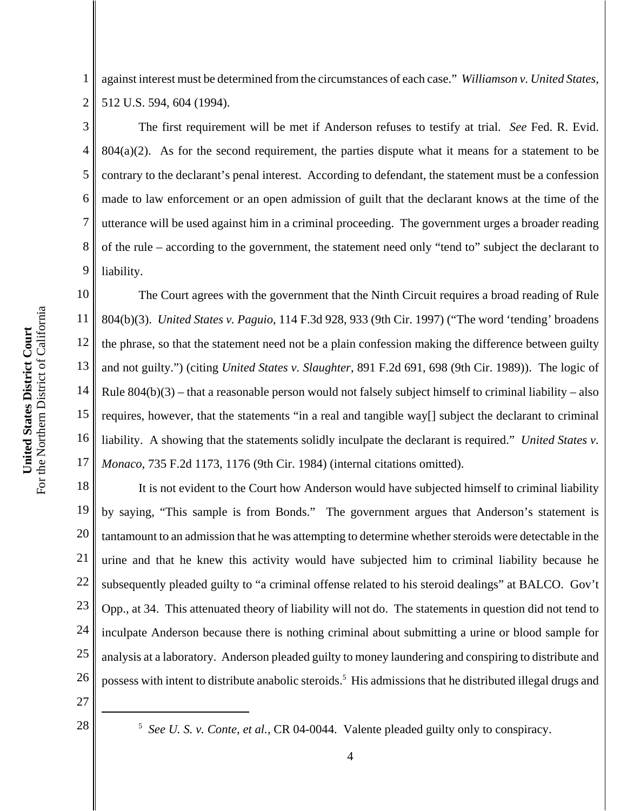1 2 against interest must be determined from the circumstances of each case." *Williamson v. United States*, 512 U.S. 594, 604 (1994).

3 4 5 6 7 8 9 The first requirement will be met if Anderson refuses to testify at trial. *See* Fed. R. Evid.  $804(a)(2)$ . As for the second requirement, the parties dispute what it means for a statement to be contrary to the declarant's penal interest. According to defendant, the statement must be a confession made to law enforcement or an open admission of guilt that the declarant knows at the time of the utterance will be used against him in a criminal proceeding. The government urges a broader reading of the rule – according to the government, the statement need only "tend to" subject the declarant to liability.

10 11 12 13 14 15 16 17 The Court agrees with the government that the Ninth Circuit requires a broad reading of Rule 804(b)(3). *United States v. Paguio*, 114 F.3d 928, 933 (9th Cir. 1997) ("The word 'tending' broadens the phrase, so that the statement need not be a plain confession making the difference between guilty and not guilty.") (citing *United States v. Slaughter*, 891 F.2d 691, 698 (9th Cir. 1989)). The logic of Rule  $804(b)(3)$  – that a reasonable person would not falsely subject himself to criminal liability – also requires, however, that the statements "in a real and tangible way[] subject the declarant to criminal liability. A showing that the statements solidly inculpate the declarant is required." *United States v. Monaco*, 735 F.2d 1173, 1176 (9th Cir. 1984) (internal citations omitted).

18 19 20 21 22 23 24 25 26 It is not evident to the Court how Anderson would have subjected himself to criminal liability by saying, "This sample is from Bonds." The government argues that Anderson's statement is tantamount to an admission that he was attempting to determine whether steroids were detectable in the urine and that he knew this activity would have subjected him to criminal liability because he subsequently pleaded guilty to "a criminal offense related to his steroid dealings" at BALCO. Gov't Opp., at 34. This attenuated theory of liability will not do. The statements in question did not tend to inculpate Anderson because there is nothing criminal about submitting a urine or blood sample for analysis at a laboratory. Anderson pleaded guilty to money laundering and conspiring to distribute and possess with intent to distribute anabolic steroids.<sup>5</sup> His admissions that he distributed illegal drugs and

- 27
- 28

*See U. S. v. Conte, et al.*, CR 04-0044. Valente pleaded guilty only to conspiracy.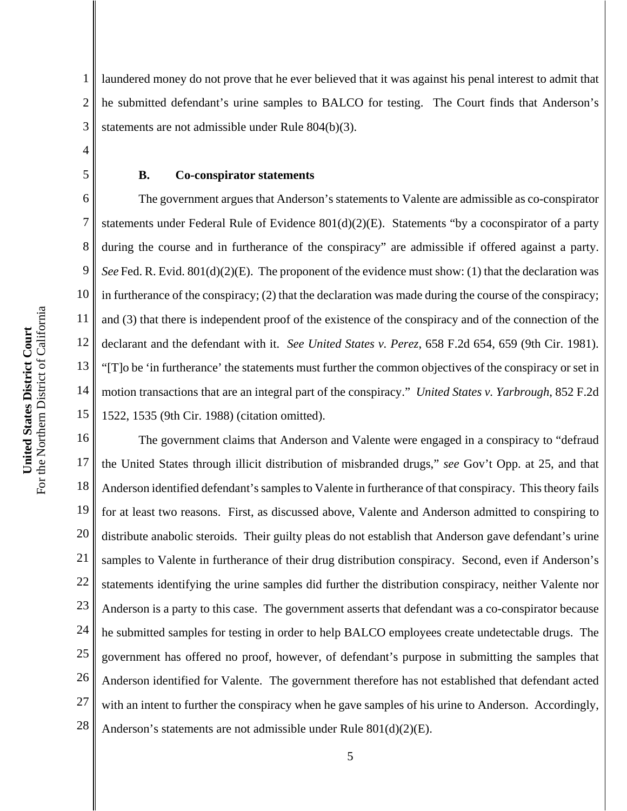1 2 3 laundered money do not prove that he ever believed that it was against his penal interest to admit that he submitted defendant's urine samples to BALCO for testing. The Court finds that Anderson's statements are not admissible under Rule 804(b)(3).

**B. Co-conspirator statements**

10 The government argues that Anderson's statements to Valente are admissible as co-conspirator statements under Federal Rule of Evidence 801(d)(2)(E). Statements "by a coconspirator of a party during the course and in furtherance of the conspiracy" are admissible if offered against a party. *See* Fed. R. Evid. 801(d)(2)(E). The proponent of the evidence must show: (1) that the declaration was in furtherance of the conspiracy; (2) that the declaration was made during the course of the conspiracy; and (3) that there is independent proof of the existence of the conspiracy and of the connection of the declarant and the defendant with it. *See United States v. Perez*, 658 F.2d 654, 659 (9th Cir. 1981). "[T]o be 'in furtherance' the statements must further the common objectives of the conspiracy or set in motion transactions that are an integral part of the conspiracy." *United States v. Yarbrough*, 852 F.2d 1522, 1535 (9th Cir. 1988) (citation omitted).

16 17 18 19 20 21 22 23 24 25 26 27 28 The government claims that Anderson and Valente were engaged in a conspiracy to "defraud the United States through illicit distribution of misbranded drugs," *see* Gov't Opp. at 25, and that Anderson identified defendant's samples to Valente in furtherance of that conspiracy. This theory fails for at least two reasons. First, as discussed above, Valente and Anderson admitted to conspiring to distribute anabolic steroids. Their guilty pleas do not establish that Anderson gave defendant's urine samples to Valente in furtherance of their drug distribution conspiracy. Second, even if Anderson's statements identifying the urine samples did further the distribution conspiracy, neither Valente nor Anderson is a party to this case. The government asserts that defendant was a co-conspirator because he submitted samples for testing in order to help BALCO employees create undetectable drugs. The government has offered no proof, however, of defendant's purpose in submitting the samples that Anderson identified for Valente. The government therefore has not established that defendant acted with an intent to further the conspiracy when he gave samples of his urine to Anderson. Accordingly, Anderson's statements are not admissible under Rule 801(d)(2)(E).

4

5

6

7

8

9

11

12

13

14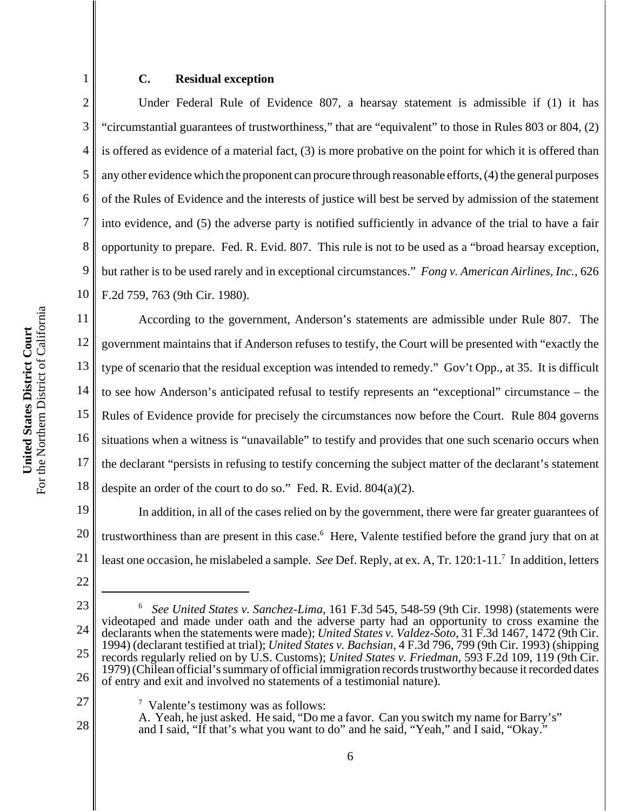#### **C. Residual exception**

2 3 4 5 6 7 8 9 10 Under Federal Rule of Evidence 807, a hearsay statement is admissible if (1) it has "circumstantial guarantees of trustworthiness," that are "equivalent" to those in Rules 803 or 804, (2) is offered as evidence of a material fact, (3) is more probative on the point for which it is offered than any other evidence which the proponent can procure through reasonable efforts, (4) the general purposes of the Rules of Evidence and the interests of justice will best be served by admission of the statement into evidence, and (5) the adverse party is notified sufficiently in advance of the trial to have a fair opportunity to prepare. Fed. R. Evid. 807. This rule is not to be used as a "broad hearsay exception, but rather is to be used rarely and in exceptional circumstances." *Fong v. American Airlines, Inc.*, 626 F.2d 759, 763 (9th Cir. 1980).

11 12 13 14 15 16 17 18 According to the government, Anderson's statements are admissible under Rule 807. The government maintains that if Anderson refuses to testify, the Court will be presented with "exactly the type of scenario that the residual exception was intended to remedy." Gov't Opp., at 35. It is difficult to see how Anderson's anticipated refusal to testify represents an "exceptional" circumstance – the Rules of Evidence provide for precisely the circumstances now before the Court. Rule 804 governs situations when a witness is "unavailable" to testify and provides that one such scenario occurs when the declarant "persists in refusing to testify concerning the subject matter of the declarant's statement despite an order of the court to do so." Fed. R. Evid.  $804(a)(2)$ .

19 20 21 In addition, in all of the cases relied on by the government, there were far greater guarantees of trustworthiness than are present in this case.<sup>6</sup> Here, Valente testified before the grand jury that on at least one occasion, he mislabeled a sample. *See* Def. Reply, at ex. A, Tr. 120:1-11.7 In addition, letters

22

1

23 24 25 26 6 *See United States v. Sanchez-Lima*, 161 F.3d 545, 548-59 (9th Cir. 1998) (statements were videotaped and made under oath and the adverse party had an opportunity to cross examine the declarants when the statements were made); *United States v. Valdez-Soto*, 31 F.3d 1467, 1472 (9th Cir. 1994) (declarant testified at trial); *United States v. Bachsian*, 4 F.3d 796, 799 (9th Cir. 1993) (shipping records regularly relied on by U.S. Customs); *United States v. Friedman*, 593 F.2d 109, 119 (9th Cir. 1979) (Chilean official's summary of official immigration records trustworthy because it recorded dates of entry and exit and involved no statements of a testimonial nature).

27

- 28
- 7 Valente's testimony was as follows:

A. Yeah, he just asked. He said, "Do me a favor. Can you switch my name for Barry's" and I said, "If that's what you want to do" and he said, "Yeah," and I said, "Okay."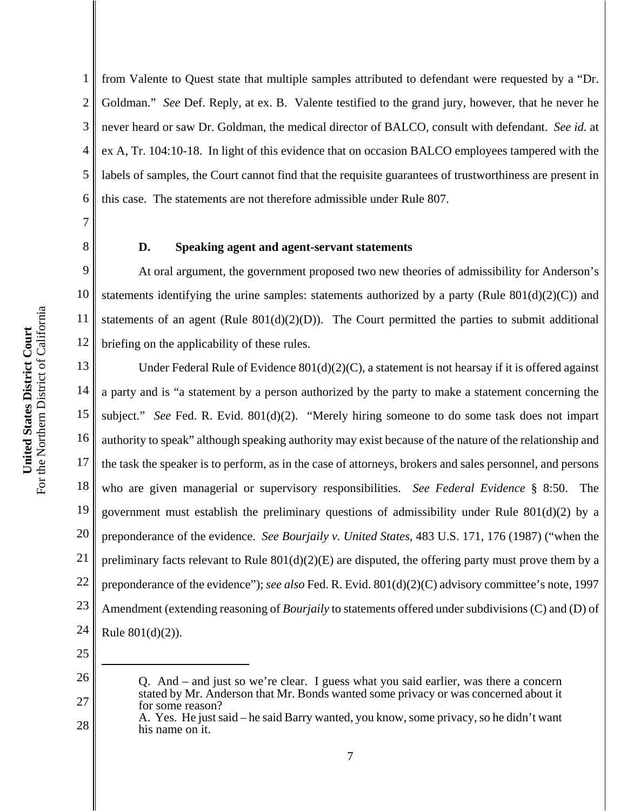1 2 3 4 5 6 from Valente to Quest state that multiple samples attributed to defendant were requested by a "Dr. Goldman." *See* Def. Reply, at ex. B. Valente testified to the grand jury, however, that he never he never heard or saw Dr. Goldman, the medical director of BALCO, consult with defendant. *See id.* at ex A, Tr. 104:10-18. In light of this evidence that on occasion BALCO employees tampered with the labels of samples, the Court cannot find that the requisite guarantees of trustworthiness are present in this case. The statements are not therefore admissible under Rule 807.

7 8

#### **D. Speaking agent and agent-servant statements**

9 10 11 12 At oral argument, the government proposed two new theories of admissibility for Anderson's statements identifying the urine samples: statements authorized by a party (Rule  $801(d)(2)(C)$ ) and statements of an agent (Rule  $801(d)(2)(D)$ ). The Court permitted the parties to submit additional briefing on the applicability of these rules.

13 14 15 16 17 18 19 20 21 22 23 24 Under Federal Rule of Evidence  $801(d)(2)(C)$ , a statement is not hearsay if it is offered against a party and is "a statement by a person authorized by the party to make a statement concerning the subject." *See* Fed. R. Evid. 801(d)(2). "Merely hiring someone to do some task does not impart authority to speak" although speaking authority may exist because of the nature of the relationship and the task the speaker is to perform, as in the case of attorneys, brokers and sales personnel, and persons who are given managerial or supervisory responsibilities. *See Federal Evidence* § 8:50. The government must establish the preliminary questions of admissibility under Rule 801(d)(2) by a preponderance of the evidence. *See Bourjaily v. United States*, 483 U.S. 171, 176 (1987) ("when the preliminary facts relevant to Rule  $801(d)(2)(E)$  are disputed, the offering party must prove them by a preponderance of the evidence"); *see also* Fed. R. Evid. 801(d)(2)(C) advisory committee's note, 1997 Amendment (extending reasoning of *Bourjaily* to statements offered under subdivisions (C) and (D) of Rule 801(d)(2)).

25

26

27

Q. And – and just so we're clear. I guess what you said earlier, was there a concern stated by Mr. Anderson that Mr. Bonds wanted some privacy or was concerned about it for some reason?

A. Yes. He just said – he said Barry wanted, you know, some privacy, so he didn't want his name on it.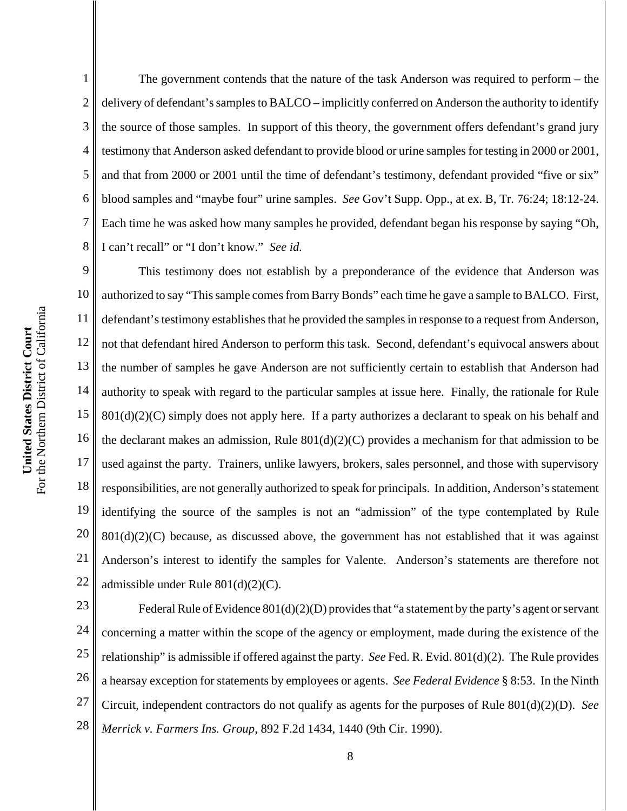The government contends that the nature of the task Anderson was required to perform – the delivery of defendant's samples to BALCO – implicitly conferred on Anderson the authority to identify the source of those samples. In support of this theory, the government offers defendant's grand jury testimony that Anderson asked defendant to provide blood or urine samples for testing in 2000 or 2001, and that from 2000 or 2001 until the time of defendant's testimony, defendant provided "five or six" blood samples and "maybe four" urine samples. *See* Gov't Supp. Opp., at ex. B, Tr. 76:24; 18:12-24. Each time he was asked how many samples he provided, defendant began his response by saying "Oh, I can't recall" or "I don't know." *See id.* 

9 10 11 12 13 14 15 16 17 18 19 20 21 22 This testimony does not establish by a preponderance of the evidence that Anderson was authorized to say "This sample comes from Barry Bonds" each time he gave a sample to BALCO. First, defendant's testimony establishes that he provided the samples in response to a request from Anderson, not that defendant hired Anderson to perform this task. Second, defendant's equivocal answers about the number of samples he gave Anderson are not sufficiently certain to establish that Anderson had authority to speak with regard to the particular samples at issue here. Finally, the rationale for Rule 801(d)(2)(C) simply does not apply here. If a party authorizes a declarant to speak on his behalf and the declarant makes an admission, Rule  $801(d)(2)(C)$  provides a mechanism for that admission to be used against the party. Trainers, unlike lawyers, brokers, sales personnel, and those with supervisory responsibilities, are not generally authorized to speak for principals. In addition, Anderson's statement identifying the source of the samples is not an "admission" of the type contemplated by Rule  $801(d)(2)(C)$  because, as discussed above, the government has not established that it was against Anderson's interest to identify the samples for Valente. Anderson's statements are therefore not admissible under Rule 801(d)(2)(C).

23 24 25 26 27 28 Federal Rule of Evidence 801(d)(2)(D) provides that "a statement by the party's agent or servant concerning a matter within the scope of the agency or employment, made during the existence of the relationship" is admissible if offered against the party. *See* Fed. R. Evid. 801(d)(2). The Rule provides a hearsay exception for statements by employees or agents. *See Federal Evidence* § 8:53. In the Ninth Circuit, independent contractors do not qualify as agents for the purposes of Rule 801(d)(2)(D). *See Merrick v. Farmers Ins. Group*, 892 F.2d 1434, 1440 (9th Cir. 1990).

1

2

3

4

5

6

7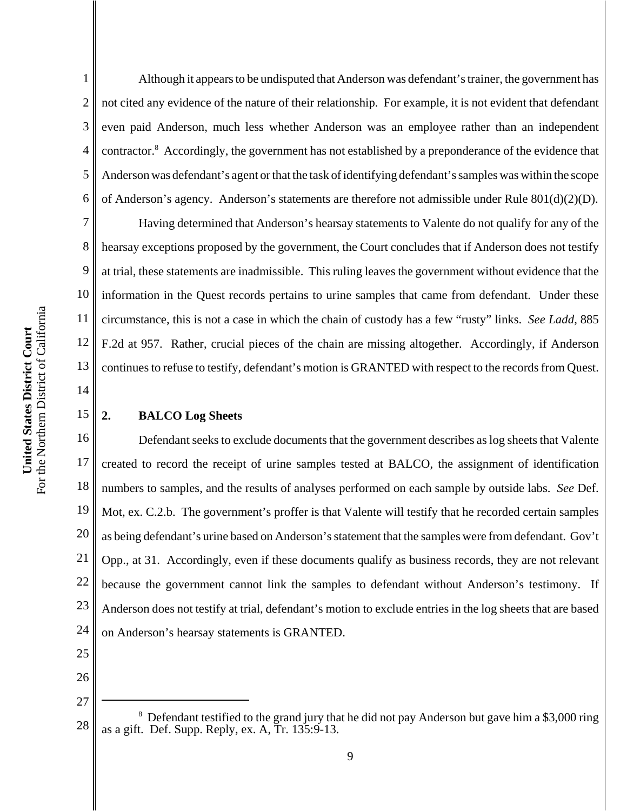8

9

11

12

13

14

15

1 2 3 4 5 6 Although it appears to be undisputed that Anderson was defendant's trainer, the government has not cited any evidence of the nature of their relationship. For example, it is not evident that defendant even paid Anderson, much less whether Anderson was an employee rather than an independent contractor.<sup>8</sup> Accordingly, the government has not established by a preponderance of the evidence that Anderson was defendant's agent or that the task of identifying defendant's samples was within the scope of Anderson's agency. Anderson's statements are therefore not admissible under Rule  $801(d)(2)(D)$ .

10 Having determined that Anderson's hearsay statements to Valente do not qualify for any of the hearsay exceptions proposed by the government, the Court concludes that if Anderson does not testify at trial, these statements are inadmissible. This ruling leaves the government without evidence that the information in the Quest records pertains to urine samples that came from defendant. Under these circumstance, this is not a case in which the chain of custody has a few "rusty" links. *See Ladd*, 885 F.2d at 957.Rather, crucial pieces of the chain are missing altogether. Accordingly, if Anderson continues to refuse to testify, defendant's motion is GRANTED with respect to the records from Quest.

#### **2. BALCO Log Sheets**

16 17 18 19 20 21 22 23 24 Defendant seeks to exclude documents that the government describes as log sheets that Valente created to record the receipt of urine samples tested at BALCO, the assignment of identification numbers to samples, and the results of analyses performed on each sample by outside labs. *See* Def. Mot, ex. C.2.b. The government's proffer is that Valente will testify that he recorded certain samples as being defendant's urine based on Anderson's statement that the samples were from defendant. Gov't Opp., at 31. Accordingly, even if these documents qualify as business records, they are not relevant because the government cannot link the samples to defendant without Anderson's testimony. If Anderson does not testify at trial, defendant's motion to exclude entries in the log sheets that are based on Anderson's hearsay statements is GRANTED.

- 25
- 26 27

<sup>28</sup> <sup>8</sup> Defendant testified to the grand jury that he did not pay Anderson but gave him a \$3,000 ring as a gift. Def. Supp. Reply, ex. A,  $Tr. 135:9-13$ .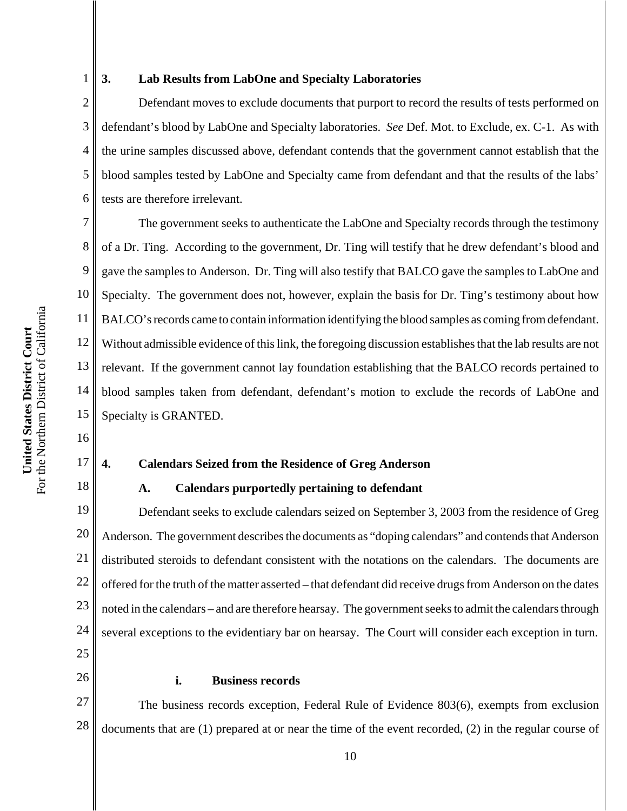3

5

1

#### **3. Lab Results from LabOne and Specialty Laboratories**

4 6 Defendant moves to exclude documents that purport to record the results of tests performed on defendant's blood by LabOne and Specialty laboratories. *See* Def. Mot. to Exclude, ex. C-1. As with the urine samples discussed above, defendant contends that the government cannot establish that the blood samples tested by LabOne and Specialty came from defendant and that the results of the labs' tests are therefore irrelevant.

7 8 9 10 11 12 13 14 15 The government seeks to authenticate the LabOne and Specialty records through the testimony of a Dr. Ting. According to the government, Dr. Ting will testify that he drew defendant's blood and gave the samples to Anderson. Dr. Ting will also testify that BALCO gave the samples to LabOne and Specialty. The government does not, however, explain the basis for Dr. Ting's testimony about how BALCO's records came to contain information identifying the blood samples as coming from defendant. Without admissible evidence of this link, the foregoing discussion establishes that the lab results are not relevant. If the government cannot lay foundation establishing that the BALCO records pertained to blood samples taken from defendant, defendant's motion to exclude the records of LabOne and Specialty is GRANTED.

- 16
- 17

18

**4. Calendars Seized from the Residence of Greg Anderson**

#### **A. Calendars purportedly pertaining to defendant**

19 20 21 22 23 24 Defendant seeks to exclude calendars seized on September 3, 2003 from the residence of Greg Anderson. The government describes the documents as "doping calendars" and contends that Anderson distributed steroids to defendant consistent with the notations on the calendars. The documents are offered for the truth of the matter asserted – that defendant did receive drugs from Anderson on the dates noted in the calendars – and are therefore hearsay. The government seeks to admit the calendars through several exceptions to the evidentiary bar on hearsay. The Court will consider each exception in turn.

- 25
- 26

### **i. Business records**

27 28 The business records exception, Federal Rule of Evidence 803(6), exempts from exclusion documents that are (1) prepared at or near the time of the event recorded, (2) in the regular course of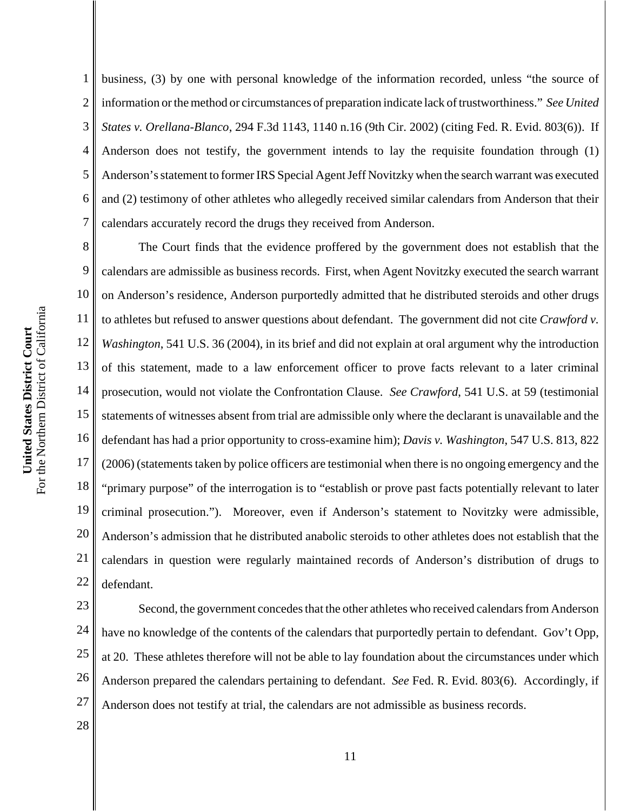1 2 3 4 5 6 7 business, (3) by one with personal knowledge of the information recorded, unless "the source of information or the method or circumstances of preparation indicate lack of trustworthiness." *See United States v. Orellana-Blanco*, 294 F.3d 1143, 1140 n.16 (9th Cir. 2002) (citing Fed. R. Evid. 803(6)). If Anderson does not testify, the government intends to lay the requisite foundation through (1) Anderson's statement to former IRS Special Agent Jeff Novitzky when the search warrant was executed and (2) testimony of other athletes who allegedly received similar calendars from Anderson that their calendars accurately record the drugs they received from Anderson.

8 9 10 11 12 13 14 15 16 17 18 19 20 21 22 The Court finds that the evidence proffered by the government does not establish that the calendars are admissible as business records. First, when Agent Novitzky executed the search warrant on Anderson's residence, Anderson purportedly admitted that he distributed steroids and other drugs to athletes but refused to answer questions about defendant. The government did not cite *Crawford v. Washington*, 541 U.S. 36 (2004), in its brief and did not explain at oral argument why the introduction of this statement, made to a law enforcement officer to prove facts relevant to a later criminal prosecution, would not violate the Confrontation Clause. *See Crawford*, 541 U.S. at 59 (testimonial statements of witnesses absent from trial are admissible only where the declarant is unavailable and the defendant has had a prior opportunity to cross-examine him); *Davis v. Washington*, 547 U.S. 813, 822 (2006) (statements taken by police officers are testimonial when there is no ongoing emergency and the "primary purpose" of the interrogation is to "establish or prove past facts potentially relevant to later criminal prosecution."). Moreover, even if Anderson's statement to Novitzky were admissible, Anderson's admission that he distributed anabolic steroids to other athletes does not establish that the calendars in question were regularly maintained records of Anderson's distribution of drugs to defendant.

23 24 25 26 27 Second, the government concedes that the other athletes who received calendars from Anderson have no knowledge of the contents of the calendars that purportedly pertain to defendant. Gov't Opp, at 20. These athletes therefore will not be able to lay foundation about the circumstances under which Anderson prepared the calendars pertaining to defendant. *See* Fed. R. Evid. 803(6). Accordingly, if Anderson does not testify at trial, the calendars are not admissible as business records.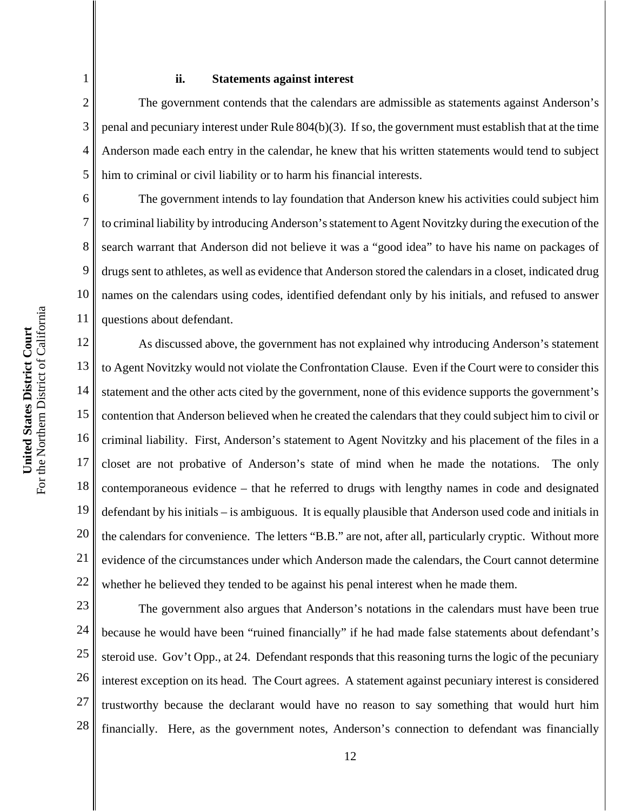1

2

3

4

5

6

7

8

9

10

11

#### **ii. Statements against interest**

The government contends that the calendars are admissible as statements against Anderson's penal and pecuniary interest under Rule 804(b)(3). If so, the government must establish that at the time Anderson made each entry in the calendar, he knew that his written statements would tend to subject him to criminal or civil liability or to harm his financial interests.

The government intends to lay foundation that Anderson knew his activities could subject him to criminal liability by introducing Anderson's statement to Agent Novitzky during the execution of the search warrant that Anderson did not believe it was a "good idea" to have his name on packages of drugs sent to athletes, as well as evidence that Anderson stored the calendars in a closet, indicated drug names on the calendars using codes, identified defendant only by his initials, and refused to answer questions about defendant.

12 13 14 15 16 17 18 19 20 21 22 As discussed above, the government has not explained why introducing Anderson's statement to Agent Novitzky would not violate the Confrontation Clause. Even if the Court were to consider this statement and the other acts cited by the government, none of this evidence supports the government's contention that Anderson believed when he created the calendars that they could subject him to civil or criminal liability. First, Anderson's statement to Agent Novitzky and his placement of the files in a closet are not probative of Anderson's state of mind when he made the notations. The only contemporaneous evidence – that he referred to drugs with lengthy names in code and designated defendant by his initials – is ambiguous. It is equally plausible that Anderson used code and initials in the calendars for convenience. The letters "B.B." are not, after all, particularly cryptic. Without more evidence of the circumstances under which Anderson made the calendars, the Court cannot determine whether he believed they tended to be against his penal interest when he made them.

23 24 25 26 27 28 The government also argues that Anderson's notations in the calendars must have been true because he would have been "ruined financially" if he had made false statements about defendant's steroid use. Gov't Opp., at 24. Defendant responds that this reasoning turns the logic of the pecuniary interest exception on its head. The Court agrees. A statement against pecuniary interest is considered trustworthy because the declarant would have no reason to say something that would hurt him financially. Here, as the government notes, Anderson's connection to defendant was financially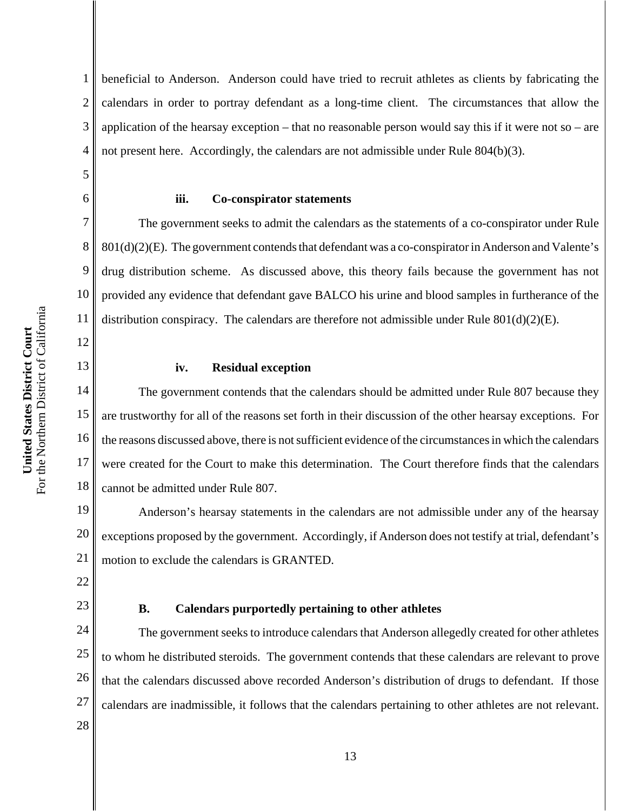1 2 3 4 beneficial to Anderson. Anderson could have tried to recruit athletes as clients by fabricating the calendars in order to portray defendant as a long-time client. The circumstances that allow the application of the hearsay exception – that no reasonable person would say this if it were not so – are not present here. Accordingly, the calendars are not admissible under Rule 804(b)(3).

#### **iii. Co-conspirator statements**

The government seeks to admit the calendars as the statements of a co-conspirator under Rule 801(d)(2)(E). The government contends that defendant was a co-conspirator in Anderson and Valente's drug distribution scheme. As discussed above, this theory fails because the government has not provided any evidence that defendant gave BALCO his urine and blood samples in furtherance of the distribution conspiracy. The calendars are therefore not admissible under Rule  $801(d)(2)(E)$ .

#### **iv. Residual exception**

14 15 16 17 18 The government contends that the calendars should be admitted under Rule 807 because they are trustworthy for all of the reasons set forth in their discussion of the other hearsay exceptions. For the reasons discussed above, there is not sufficient evidence of the circumstances in which the calendars were created for the Court to make this determination. The Court therefore finds that the calendars cannot be admitted under Rule 807.

19 20 21 Anderson's hearsay statements in the calendars are not admissible under any of the hearsay exceptions proposed by the government. Accordingly, if Anderson does not testify at trial, defendant's motion to exclude the calendars is GRANTED.

22

23

5

6

7

8

9

10

11

12

13

#### **B. Calendars purportedly pertaining to other athletes**

24 25 26 27 28 The government seeks to introduce calendars that Anderson allegedly created for other athletes to whom he distributed steroids. The government contends that these calendars are relevant to prove that the calendars discussed above recorded Anderson's distribution of drugs to defendant. If those calendars are inadmissible, it follows that the calendars pertaining to other athletes are not relevant.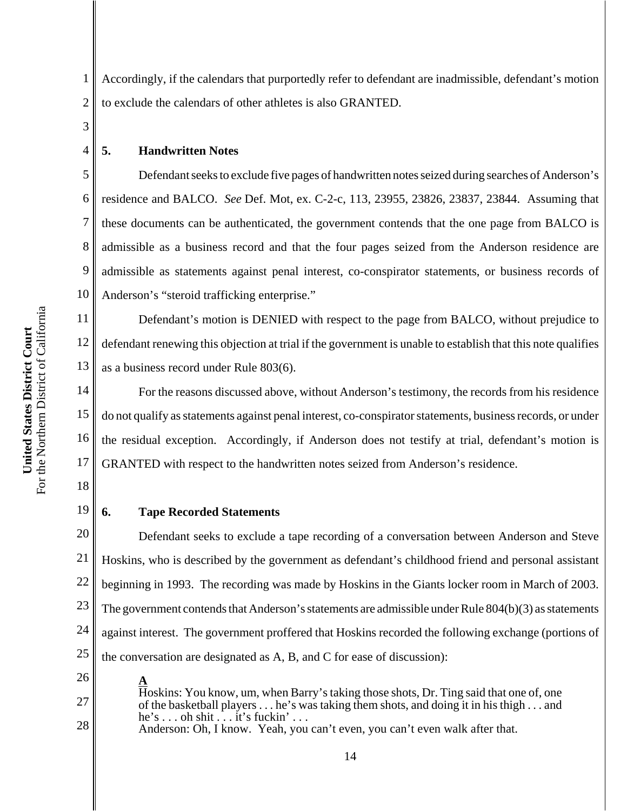1 2 Accordingly, if the calendars that purportedly refer to defendant are inadmissible, defendant's motion to exclude the calendars of other athletes is also GRANTED.

3 4

5

6

7

8

9

#### **5. Handwritten Notes**

10 Defendant seeks to exclude five pages of handwritten notes seized during searches of Anderson's residence and BALCO. *See* Def. Mot, ex. C-2-c, 113, 23955, 23826, 23837, 23844. Assuming that these documents can be authenticated, the government contends that the one page from BALCO is admissible as a business record and that the four pages seized from the Anderson residence are admissible as statements against penal interest, co-conspirator statements, or business records of Anderson's "steroid trafficking enterprise."

11 12 13 Defendant's motion is DENIED with respect to the page from BALCO, without prejudice to defendant renewing this objection at trial if the government is unable to establish that this note qualifies as a business record under Rule 803(6).

14 15 16 17 For the reasons discussed above, without Anderson's testimony, the records from his residence do not qualify as statements against penal interest, co-conspirator statements, business records, or under the residual exception. Accordingly, if Anderson does not testify at trial, defendant's motion is GRANTED with respect to the handwritten notes seized from Anderson's residence.

18

19

26

27

28

## **6. Tape Recorded Statements**

20 21 22 23 24 25 Defendant seeks to exclude a tape recording of a conversation between Anderson and Steve Hoskins, who is described by the government as defendant's childhood friend and personal assistant beginning in 1993. The recording was made by Hoskins in the Giants locker room in March of 2003. The government contends that Anderson's statements are admissible under Rule 804(b)(3) as statements against interest. The government proffered that Hoskins recorded the following exchange (portions of the conversation are designated as A, B, and C for ease of discussion):

**A** Hoskins: You know, um, when Barry's taking those shots, Dr. Ting said that one of, one of the basketball players . . . he's was taking them shots, and doing it in his thigh . . . and he's ... oh shit  $\ldots$  it's fuckin'  $\ldots$ Anderson: Oh, I know. Yeah, you can't even, you can't even walk after that.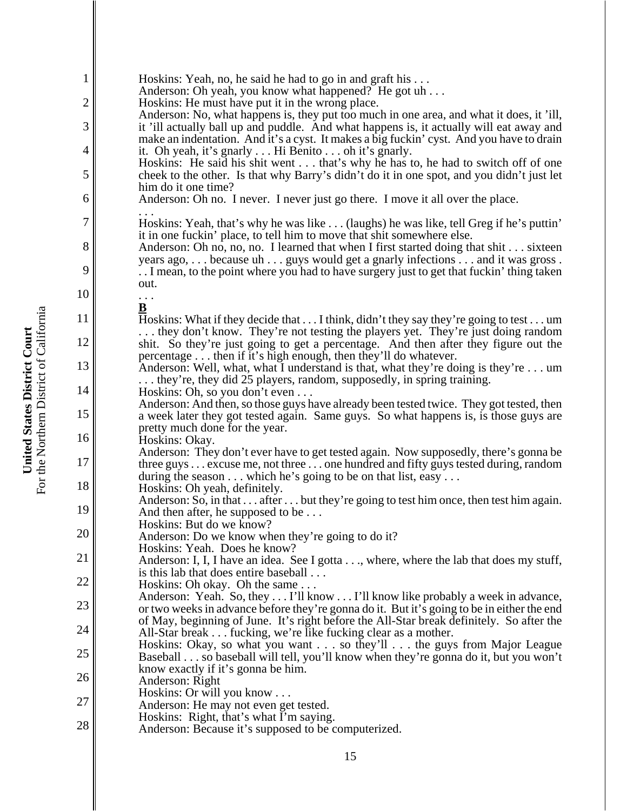| $\mathbf{1}$   | Hoskins: Yeah, no, he said he had to go in and graft his $\dots$<br>Anderson: Oh yeah, you know what happened? He got uh                                                                                                                |
|----------------|-----------------------------------------------------------------------------------------------------------------------------------------------------------------------------------------------------------------------------------------|
| $\overline{2}$ | Hoskins: He must have put it in the wrong place.<br>Anderson: No, what happens is, they put too much in one area, and what it does, it 'ill,                                                                                            |
| 3<br>4         | it 'ill actually ball up and puddle. And what happens is, it actually will eat away and<br>make an indentation. And it's a cyst. It makes a big fuckin' cyst. And you have to drain                                                     |
|                | it. Oh yeah, it's gnarly Hi Benito oh it's gnarly.<br>Hoskins: He said his shit went that's why he has to, he had to switch off of one                                                                                                  |
| 5              | cheek to the other. Is that why Barry's didn't do it in one spot, and you didn't just let<br>him do it one time?                                                                                                                        |
| 6              | Anderson: Oh no. I never. I never just go there. I move it all over the place.                                                                                                                                                          |
| 7              | Hoskins: Yeah, that's why he was like (laughs) he was like, tell Greg if he's puttin'<br>it in one fuckin' place, to tell him to move that shit somewhere else.                                                                         |
| 8              | Anderson: Oh no, no, no. I learned that when I first started doing that shit sixteen<br>years ago,  because uh  guys would get a gnarly infections  and it was gross.                                                                   |
| 9              | I mean, to the point where you had to have surgery just to get that fuckin' thing taken<br>out.                                                                                                                                         |
| 10             | .                                                                                                                                                                                                                                       |
| 11             | B<br>Hoskins: What if they decide that I think, didn't they say they're going to test um<br>they don't know. They're not testing the players yet. They're just doing random                                                             |
| 12             | shit. So they're just going to get a percentage. And then after they figure out the                                                                                                                                                     |
| 13             | percentage then if it's high enough, then they'll do whatever.<br>Anderson: Well, what, what I understand is that, what they're doing is they're  um                                                                                    |
| 14             | they're, they did 25 players, random, supposedly, in spring training.<br>Hoskins: Oh, so you don't even                                                                                                                                 |
| 15             | Anderson: And then, so those guys have already been tested twice. They got tested, then<br>a week later they got tested again. Same guys. So what happens is, is those guys are<br>pretty much done for the year.                       |
| 16             | Hoskins: Okay.                                                                                                                                                                                                                          |
| 17             | Anderson: They don't ever have to get tested again. Now supposedly, there's gonna be<br>three guys excuse me, not three one hundred and fifty guys tested during, random<br>during the season which he's going to be on that list, easy |
| 18             | Hoskins: Oh yeah, definitely.<br>Anderson: So, in that $\dots$ after $\dots$ but they're going to test him once, then test him again.                                                                                                   |
| 19             | And then after, he supposed to be                                                                                                                                                                                                       |
| 20             | Hoskins: But do we know?<br>Anderson: Do we know when they're going to do it?                                                                                                                                                           |
| 21             | Hoskins: Yeah. Does he know?<br>Anderson: I, I, I have an idea. See I gotta, where, where the lab that does my stuff,                                                                                                                   |
| 22             | is this lab that does entire baseball<br>Hoskins: Oh okay. Oh the same                                                                                                                                                                  |
| 23             | Anderson: Yeah. So, they I'll know I'll know like probably a week in advance,<br>or two weeks in advance before they're gonna do it. But it's going to be in either the end                                                             |
| 24             | of May, beginning of June. It's right before the All-Star break definitely. So after the<br>All-Star break fucking, we're like fucking clear as a mother.                                                                               |
| 25             | Hoskins: Okay, so what you want so they'll the guys from Major League<br>Baseball so baseball will tell, you'll know when they're gonna do it, but you won't                                                                            |
| 26             | know exactly if it's gonna be him.<br>Anderson: Right                                                                                                                                                                                   |
|                | Hoskins: Or will you know                                                                                                                                                                                                               |
| 27             | Anderson: He may not even get tested.<br>Hoskins: Right, that's what I'm saying.                                                                                                                                                        |
| 28             | Anderson: Because it's supposed to be computerized.                                                                                                                                                                                     |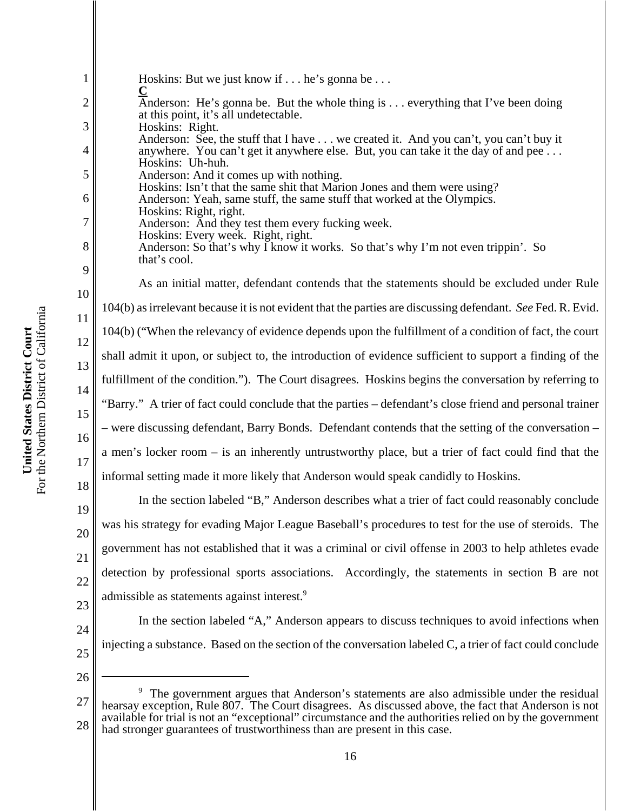| 1        | Hoskins: But we just know if he's gonna be                                                                                                                                                                                                                                                                                                                                              |
|----------|-----------------------------------------------------------------------------------------------------------------------------------------------------------------------------------------------------------------------------------------------------------------------------------------------------------------------------------------------------------------------------------------|
| 2        | Anderson: He's gonna be. But the whole thing is everything that I've been doing                                                                                                                                                                                                                                                                                                         |
| 3        | at this point, it's all undetectable.<br>Hoskins: Right.                                                                                                                                                                                                                                                                                                                                |
| 4        | Anderson: See, the stuff that I have we created it. And you can't, you can't buy it<br>anywhere. You can't get it anywhere else. But, you can take it the day of and pee                                                                                                                                                                                                                |
| 5        | Hoskins: Uh-huh.<br>Anderson: And it comes up with nothing.                                                                                                                                                                                                                                                                                                                             |
| 6        | Hoskins: Isn't that the same shit that Marion Jones and them were using?<br>Anderson: Yeah, same stuff, the same stuff that worked at the Olympics.                                                                                                                                                                                                                                     |
| 7        | Hoskins: Right, right.<br>Anderson: And they test them every fucking week.                                                                                                                                                                                                                                                                                                              |
|          | Hoskins: Every week. Right, right.                                                                                                                                                                                                                                                                                                                                                      |
| 8        | Anderson: So that's why I know it works. So that's why I'm not even trippin'. So<br>that's cool.                                                                                                                                                                                                                                                                                        |
| 9        | As an initial matter, defendant contends that the statements should be excluded under Rule                                                                                                                                                                                                                                                                                              |
| 10       | 104(b) as irrelevant because it is not evident that the parties are discussing defendant. See Fed. R. Evid.                                                                                                                                                                                                                                                                             |
| 11       | 104(b) ("When the relevancy of evidence depends upon the fulfillment of a condition of fact, the court                                                                                                                                                                                                                                                                                  |
| 12       | shall admit it upon, or subject to, the introduction of evidence sufficient to support a finding of the                                                                                                                                                                                                                                                                                 |
| 13<br>14 | fulfillment of the condition."). The Court disagrees. Hoskins begins the conversation by referring to                                                                                                                                                                                                                                                                                   |
| 15       | "Barry." A trier of fact could conclude that the parties – defendant's close friend and personal trainer                                                                                                                                                                                                                                                                                |
| 16       | - were discussing defendant, Barry Bonds. Defendant contends that the setting of the conversation -                                                                                                                                                                                                                                                                                     |
| 17       | a men's locker room – is an inherently untrustworthy place, but a trier of fact could find that the                                                                                                                                                                                                                                                                                     |
| 18       | informal setting made it more likely that Anderson would speak candidly to Hoskins.                                                                                                                                                                                                                                                                                                     |
| 19       | In the section labeled "B," Anderson describes what a trier of fact could reasonably conclude                                                                                                                                                                                                                                                                                           |
| 20       | was his strategy for evading Major League Baseball's procedures to test for the use of steroids. The                                                                                                                                                                                                                                                                                    |
| 21       | government has not established that it was a criminal or civil offense in 2003 to help athletes evade                                                                                                                                                                                                                                                                                   |
| 22       | detection by professional sports associations. Accordingly, the statements in section B are not                                                                                                                                                                                                                                                                                         |
| 23       | admissible as statements against interest. <sup>9</sup>                                                                                                                                                                                                                                                                                                                                 |
| 24       | In the section labeled "A," Anderson appears to discuss techniques to avoid infections when                                                                                                                                                                                                                                                                                             |
| 25       | injecting a substance. Based on the section of the conversation labeled C, a trier of fact could conclude                                                                                                                                                                                                                                                                               |
| 26       |                                                                                                                                                                                                                                                                                                                                                                                         |
| 27<br>28 | The government argues that Anderson's statements are also admissible under the residual<br>hearsay exception, Rule 807. The Court disagrees. As discussed above, the fact that Anderson is not<br>available for trial is not an "exceptional" circumstance and the authorities relied on by the government<br>had stronger guarantees of trustworthiness than are present in this case. |

**United States District Court**<br>For the Northern District of California For the Northern District of California **United States District Court**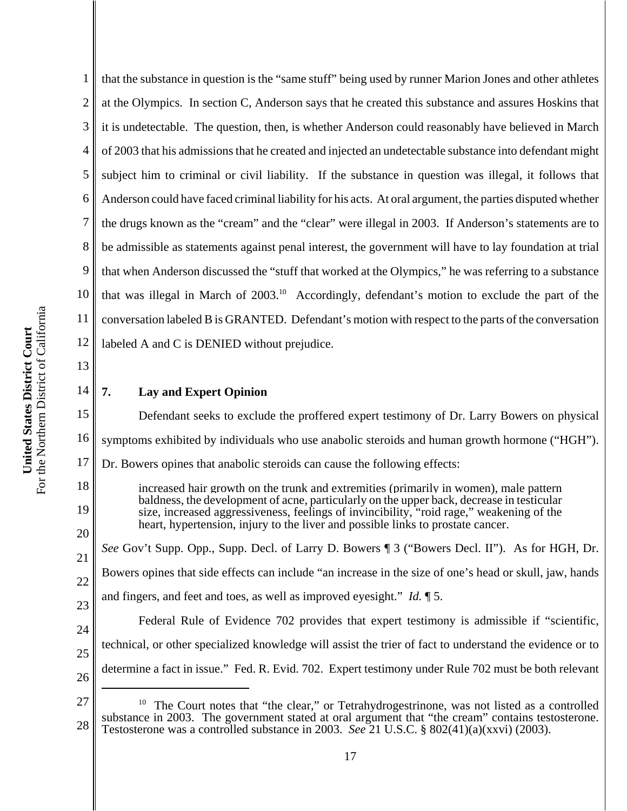1 2 3 4 5 6 7 8 9 10 11 12 that the substance in question is the "same stuff" being used by runner Marion Jones and other athletes at the Olympics. In section C, Anderson says that he created this substance and assures Hoskins that it is undetectable. The question, then, is whether Anderson could reasonably have believed in March of 2003 that his admissions that he created and injected an undetectable substance into defendant might subject him to criminal or civil liability. If the substance in question was illegal, it follows that Anderson could have faced criminal liability for his acts. At oral argument, the parties disputed whether the drugs known as the "cream" and the "clear" were illegal in 2003. If Anderson's statements are to be admissible as statements against penal interest, the government will have to lay foundation at trial that when Anderson discussed the "stuff that worked at the Olympics," he was referring to a substance that was illegal in March of  $2003$ <sup>10</sup> Accordingly, defendant's motion to exclude the part of the conversation labeled B is GRANTED. Defendant's motion with respect to the parts of the conversation labeled A and C is DENIED without prejudice.

14

## **7. Lay and Expert Opinion**

15 16 17 18 19 Defendant seeks to exclude the proffered expert testimony of Dr. Larry Bowers on physical symptoms exhibited by individuals who use anabolic steroids and human growth hormone ("HGH"). Dr. Bowers opines that anabolic steroids can cause the following effects: increased hair growth on the trunk and extremities (primarily in women), male pattern baldness, the development of acne, particularly on the upper back, decrease in testicular size, increased aggressiveness, feelings of invincibility, "roid rage," weakening of the heart, hypertension, injury to the liver and possible links to prostate cancer.

20 21 *See* Gov't Supp. Opp., Supp. Decl. of Larry D. Bowers ¶ 3 ("Bowers Decl. II"). As for HGH, Dr. Bowers opines that side effects can include "an increase in the size of one's head or skull, jaw, hands

23 and fingers, and feet and toes, as well as improved eyesight." *Id.* ¶ 5.

Federal Rule of Evidence 702 provides that expert testimony is admissible if "scientific, technical, or other specialized knowledge will assist the trier of fact to understand the evidence or to

determine a fact in issue." Fed. R. Evid. 702. Expert testimony under Rule 702 must be both relevant

25

24

22

<sup>27</sup> 28 The Court notes that "the clear," or Tetrahydrogestrinone, was not listed as a controlled substance in 2003. The government stated at oral argument that "the cream" contains testosterone. Testosterone was a controlled substance in 2003. *See* 21 U.S.C. § 802(41)(a)(xxvi) (2003).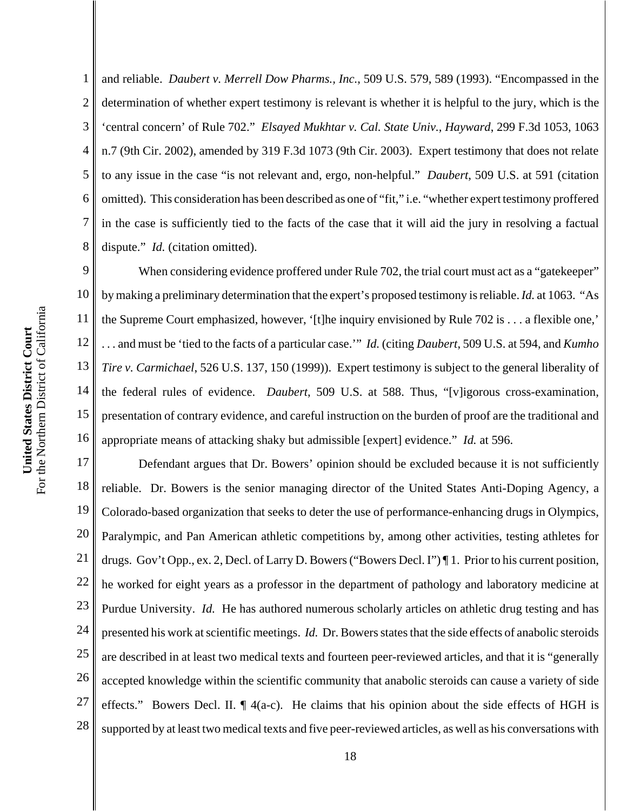1 2 3 4 5 6 7 8 and reliable. *Daubert v. Merrell Dow Pharms., Inc.*, 509 U.S. 579, 589 (1993). "Encompassed in the determination of whether expert testimony is relevant is whether it is helpful to the jury, which is the 'central concern' of Rule 702." *Elsayed Mukhtar v. Cal. State Univ., Hayward*, 299 F.3d 1053, 1063 n.7 (9th Cir. 2002), amended by 319 F.3d 1073 (9th Cir. 2003). Expert testimony that does not relate to any issue in the case "is not relevant and, ergo, non-helpful." *Daubert*, 509 U.S. at 591 (citation omitted). This consideration has been described as one of "fit," i.e. "whether expert testimony proffered in the case is sufficiently tied to the facts of the case that it will aid the jury in resolving a factual dispute." *Id.* (citation omitted).

9 10 11 12 13 14 15 16 When considering evidence proffered under Rule 702, the trial court must act as a "gatekeeper" by making a preliminary determination that the expert's proposed testimony is reliable. *Id.* at 1063. "As the Supreme Court emphasized, however, '[t]he inquiry envisioned by Rule 702 is . . . a flexible one,' . . . and must be 'tied to the facts of a particular case.'" *Id.* (citing *Daubert*, 509 U.S. at 594, and *Kumho Tire v. Carmichael*, 526 U.S. 137, 150 (1999)). Expert testimony is subject to the general liberality of the federal rules of evidence. *Daubert*, 509 U.S. at 588. Thus, "[v]igorous cross-examination, presentation of contrary evidence, and careful instruction on the burden of proof are the traditional and appropriate means of attacking shaky but admissible [expert] evidence." *Id.* at 596.

17 18 19 20 21 22 23 24 25 26 27 28 Defendant argues that Dr. Bowers' opinion should be excluded because it is not sufficiently reliable. Dr. Bowers is the senior managing director of the United States Anti-Doping Agency, a Colorado-based organization that seeks to deter the use of performance-enhancing drugs in Olympics, Paralympic, and Pan American athletic competitions by, among other activities, testing athletes for drugs. Gov't Opp., ex. 2, Decl. of Larry D. Bowers ("Bowers Decl. I") ¶ 1. Prior to his current position, he worked for eight years as a professor in the department of pathology and laboratory medicine at Purdue University. *Id.* He has authored numerous scholarly articles on athletic drug testing and has presented his work at scientific meetings. *Id.* Dr. Bowers states that the side effects of anabolic steroids are described in at least two medical texts and fourteen peer-reviewed articles, and that it is "generally accepted knowledge within the scientific community that anabolic steroids can cause a variety of side effects." Bowers Decl. II.  $\P$  4(a-c). He claims that his opinion about the side effects of HGH is supported by at least two medical texts and five peer-reviewed articles, as well as his conversations with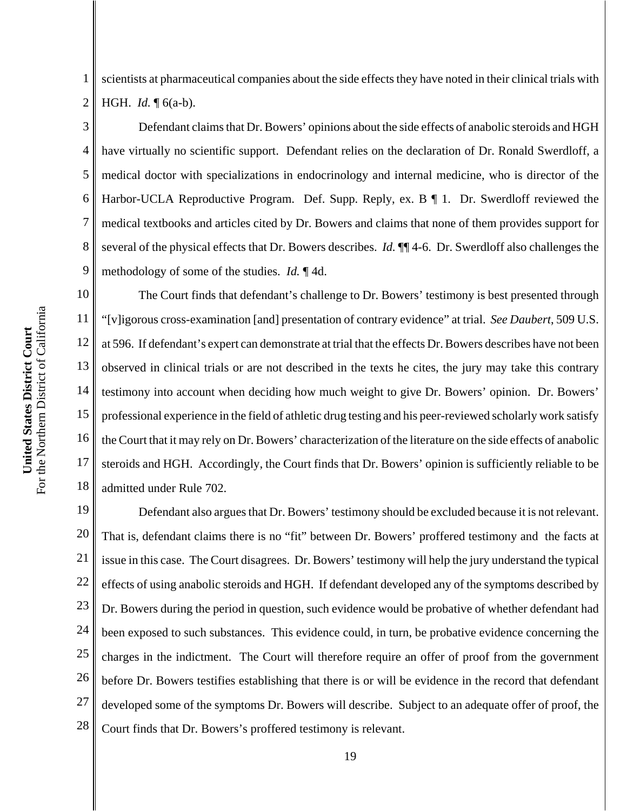1 2 scientists at pharmaceutical companies about the side effects they have noted in their clinical trials with HGH. *Id.* ¶ 6(a-b).

3 4 5 6 7 8 9 Defendant claims that Dr. Bowers' opinions about the side effects of anabolic steroids and HGH have virtually no scientific support. Defendant relies on the declaration of Dr. Ronald Swerdloff, a medical doctor with specializations in endocrinology and internal medicine, who is director of the Harbor-UCLA Reproductive Program. Def. Supp. Reply, ex. B ¶ 1. Dr. Swerdloff reviewed the medical textbooks and articles cited by Dr. Bowers and claims that none of them provides support for several of the physical effects that Dr. Bowers describes. *Id.* ¶¶ 4-6. Dr. Swerdloff also challenges the methodology of some of the studies. *Id.* ¶ 4d.

10 11 12 13 14 15 16 17 18 The Court finds that defendant's challenge to Dr. Bowers' testimony is best presented through "[v]igorous cross-examination [and] presentation of contrary evidence" at trial. *See Daubert*, 509 U.S. at 596. If defendant's expert can demonstrate at trial that the effects Dr. Bowers describes have not been observed in clinical trials or are not described in the texts he cites, the jury may take this contrary testimony into account when deciding how much weight to give Dr. Bowers' opinion. Dr. Bowers' professional experience in the field of athletic drug testing and his peer-reviewed scholarly work satisfy the Court that it may rely on Dr. Bowers' characterization of the literature on the side effects of anabolic steroids and HGH. Accordingly, the Court finds that Dr. Bowers' opinion is sufficiently reliable to be admitted under Rule 702.

19 20 21 22 23 24 25 26 27 28 Defendant also argues that Dr. Bowers' testimony should be excluded because it is not relevant. That is, defendant claims there is no "fit" between Dr. Bowers' proffered testimony and the facts at issue in this case. The Court disagrees. Dr. Bowers' testimony will help the jury understand the typical effects of using anabolic steroids and HGH. If defendant developed any of the symptoms described by Dr. Bowers during the period in question, such evidence would be probative of whether defendant had been exposed to such substances. This evidence could, in turn, be probative evidence concerning the charges in the indictment. The Court will therefore require an offer of proof from the government before Dr. Bowers testifies establishing that there is or will be evidence in the record that defendant developed some of the symptoms Dr. Bowers will describe. Subject to an adequate offer of proof, the Court finds that Dr. Bowers's proffered testimony is relevant.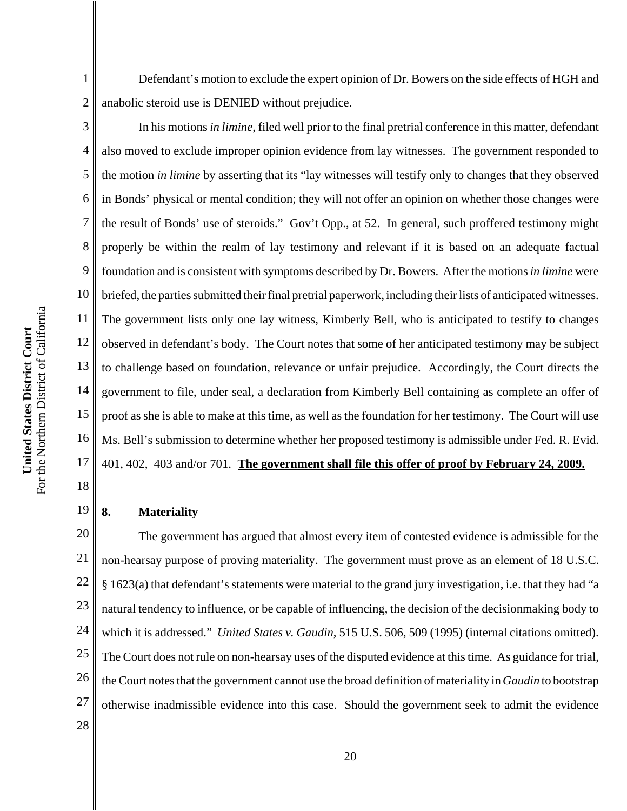Defendant's motion to exclude the expert opinion of Dr. Bowers on the side effects of HGH and anabolic steroid use is DENIED without prejudice.

3 4 5 6 7 8 9 10 11 12 13 14 15 16 17 In his motions *in limine*, filed well prior to the final pretrial conference in this matter, defendant also moved to exclude improper opinion evidence from lay witnesses. The government responded to the motion *in limine* by asserting that its "lay witnesses will testify only to changes that they observed in Bonds' physical or mental condition; they will not offer an opinion on whether those changes were the result of Bonds' use of steroids." Gov't Opp., at 52. In general, such proffered testimony might properly be within the realm of lay testimony and relevant if it is based on an adequate factual foundation and is consistent with symptoms described by Dr. Bowers. After the motions *in limine* were briefed, the parties submitted their final pretrial paperwork, including their lists of anticipated witnesses. The government lists only one lay witness, Kimberly Bell, who is anticipated to testify to changes observed in defendant's body. The Court notes that some of her anticipated testimony may be subject to challenge based on foundation, relevance or unfair prejudice. Accordingly, the Court directs the government to file, under seal, a declaration from Kimberly Bell containing as complete an offer of proof as she is able to make at this time, as well as the foundation for her testimony. The Court will use Ms. Bell's submission to determine whether her proposed testimony is admissible under Fed. R. Evid. 401, 402, 403 and/or 701. **The government shall file this offer of proof by February 24, 2009.** 

18

1

2

#### 19 **8. Materiality**

20 21 22 23 24 25 26 27 28 The government has argued that almost every item of contested evidence is admissible for the non-hearsay purpose of proving materiality. The government must prove as an element of 18 U.S.C. § 1623(a) that defendant's statements were material to the grand jury investigation, i.e. that they had "a natural tendency to influence, or be capable of influencing, the decision of the decisionmaking body to which it is addressed." *United States v. Gaudin*, 515 U.S. 506, 509 (1995) (internal citations omitted). The Court does not rule on non-hearsay uses of the disputed evidence at this time. As guidance for trial, the Court notes that the government cannot use the broad definition of materiality in *Gaudin* to bootstrap otherwise inadmissible evidence into this case. Should the government seek to admit the evidence